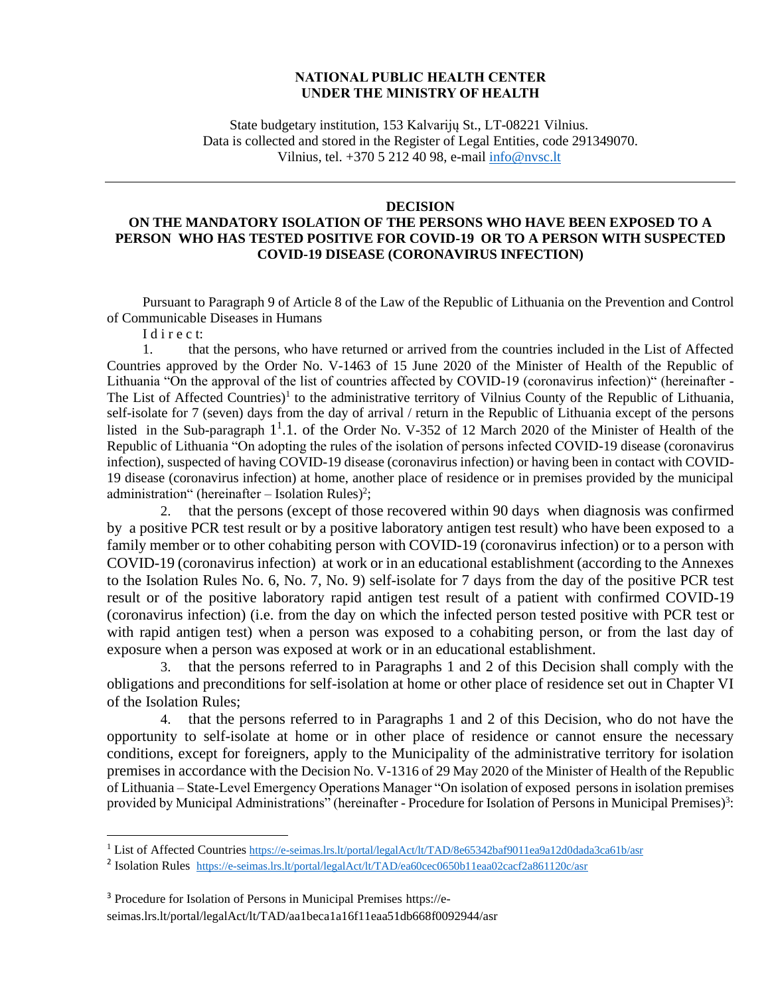## **NATIONAL PUBLIC HEALTH CENTER UNDER THE MINISTRY OF HEALTH**

State budgetary institution, 153 Kalvarijų St., LT-08221 Vilnius. Data is collected and stored in the Register of Legal Entities, code 291349070. Vilnius, tel. +370 5 212 40 98, e-mail [info@nvsc.lt](mailto:info@nvsc.lt)

## **DECISION**

## **ON THE MANDATORY ISOLATION OF THE PERSONS WHO HAVE BEEN EXPOSED TO A PERSON WHO HAS TESTED POSITIVE FOR COVID-19 OR TO A PERSON WITH SUSPECTED COVID-19 DISEASE (CORONAVIRUS INFECTION)**

Pursuant to Paragraph 9 of Article 8 of the Law of the Republic of Lithuania on the Prevention and Control of Communicable Diseases in Humans

I d i r e c t:

1. that the persons, who have returned or arrived from the countries included in the List of Affected Countries approved by the Order No. V-1463 of 15 June 2020 of the Minister of Health of the Republic of Lithuania "On the approval of the list of countries affected by COVID-19 (coronavirus infection)" (hereinafter - The List of Affected Countries)<sup>1</sup> to the administrative territory of Vilnius County of the Republic of Lithuania, self-isolate for 7 (seven) days from the day of arrival / return in the Republic of Lithuania except of the persons listed in the Sub-paragraph 1<sup>1</sup>.1. of the Order No. V-352 of 12 March 2020 of the Minister of Health of the Republic of Lithuania "On adopting the rules of the isolation of persons infected COVID-19 disease (coronavirus infection), suspected of having COVID-19 disease (coronavirus infection) or having been in contact with COVID-19 disease (coronavirus infection) at home, another place of residence or in premises provided by the municipal administration" (hereinafter  $-$  Isolation Rules)<sup>2</sup>;

2. that the persons (except of those recovered within 90 days when diagnosis was confirmed by a positive PCR test result or by a positive laboratory antigen test result) who have been exposed to a family member or to other cohabiting person with COVID-19 (coronavirus infection) or to a person with COVID-19 (coronavirus infection) at work or in an educational establishment (according to the Annexes to the Isolation Rules No. 6, No. 7, No. 9) self-isolate for 7 days from the day of the positive PCR test result or of the positive laboratory rapid antigen test result of a patient with confirmed COVID-19 (coronavirus infection) (i.e. from the day on which the infected person tested positive with PCR test or with rapid antigen test) when a person was exposed to a cohabiting person, or from the last day of exposure when a person was exposed at work or in an educational establishment.

3. that the persons referred to in Paragraphs 1 and 2 of this Decision shall comply with the obligations and preconditions for self-isolation at home or other place of residence set out in Chapter VI of the Isolation Rules;

4. that the persons referred to in Paragraphs 1 and 2 of this Decision, who do not have the opportunity to self-isolate at home or in other place of residence or cannot ensure the necessary conditions, except for foreigners, apply to the Municipality of the administrative territory for isolation premises in accordance with the Decision No. V-1316 of 29 May 2020 of the Minister of Health of the Republic of Lithuania – State-Level Emergency Operations Manager "On isolation of exposed persons in isolation premises provided by Municipal Administrations" (hereinafter - Procedure for Isolation of Persons in Municipal Premises)<sup>3</sup>:

<sup>&</sup>lt;sup>1</sup> List of Affected Countries <https://e-seimas.lrs.lt/portal/legalAct/lt/TAD/8e65342baf9011ea9a12d0dada3ca61b/asr>

<sup>&</sup>lt;sup>2</sup> Isolation Rules <https://e-seimas.lrs.lt/portal/legalAct/lt/TAD/ea60cec0650b11eaa02cacf2a861120c/asr>

<sup>3</sup> Procedure for Isolation of Persons in Municipal Premises https://eseimas.lrs.lt/portal/legalAct/lt/TAD/aa1beca1a16f11eaa51db668f0092944/asr